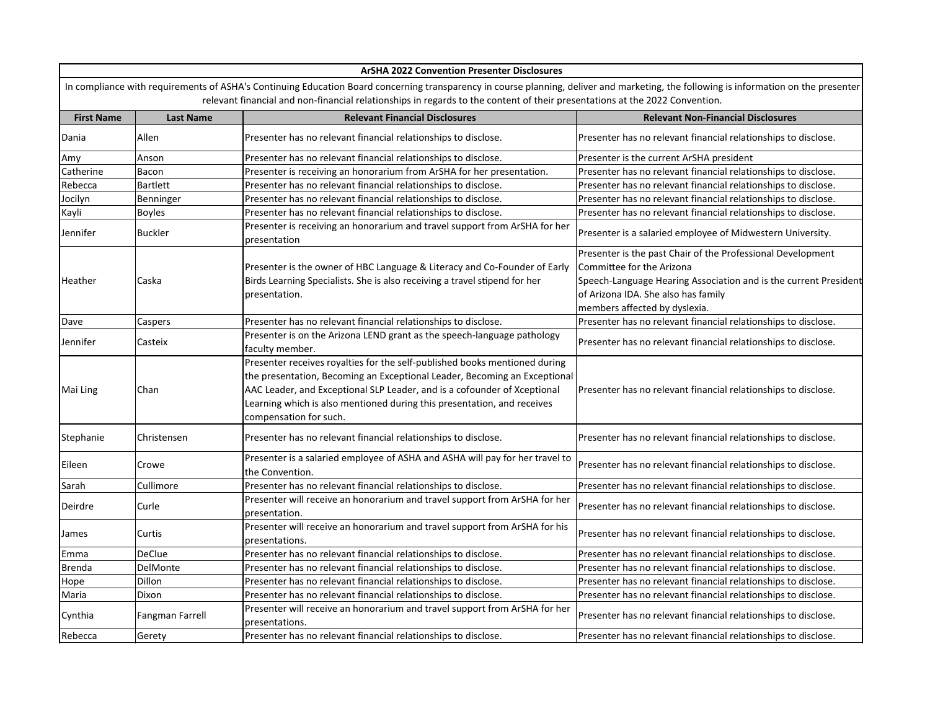| <b>ArSHA 2022 Convention Presenter Disclosures</b>                                                                                                                                                                                                                                                                   |                  |                                                                                                 |                                                                  |  |  |  |  |
|----------------------------------------------------------------------------------------------------------------------------------------------------------------------------------------------------------------------------------------------------------------------------------------------------------------------|------------------|-------------------------------------------------------------------------------------------------|------------------------------------------------------------------|--|--|--|--|
| In compliance with requirements of ASHA's Continuing Education Board concerning transparency in course planning, deliver and marketing, the following is information on the presenter<br>relevant financial and non-financial relationships in regards to the content of their presentations at the 2022 Convention. |                  |                                                                                                 |                                                                  |  |  |  |  |
| <b>First Name</b>                                                                                                                                                                                                                                                                                                    | <b>Last Name</b> | <b>Relevant Financial Disclosures</b>                                                           | <b>Relevant Non-Financial Disclosures</b>                        |  |  |  |  |
| Dania                                                                                                                                                                                                                                                                                                                | Allen            | Presenter has no relevant financial relationships to disclose.                                  | Presenter has no relevant financial relationships to disclose.   |  |  |  |  |
| Amy                                                                                                                                                                                                                                                                                                                  | Anson            | Presenter has no relevant financial relationships to disclose.                                  | Presenter is the current ArSHA president                         |  |  |  |  |
| Catherine                                                                                                                                                                                                                                                                                                            | Bacon            | Presenter is receiving an honorarium from ArSHA for her presentation.                           | Presenter has no relevant financial relationships to disclose.   |  |  |  |  |
| Rebecca                                                                                                                                                                                                                                                                                                              | <b>Bartlett</b>  | Presenter has no relevant financial relationships to disclose.                                  | Presenter has no relevant financial relationships to disclose.   |  |  |  |  |
| Jocilyn                                                                                                                                                                                                                                                                                                              | Benninger        | Presenter has no relevant financial relationships to disclose.                                  | Presenter has no relevant financial relationships to disclose.   |  |  |  |  |
| Kayli                                                                                                                                                                                                                                                                                                                | <b>Boyles</b>    | Presenter has no relevant financial relationships to disclose.                                  | Presenter has no relevant financial relationships to disclose.   |  |  |  |  |
| Jennifer                                                                                                                                                                                                                                                                                                             | <b>Buckler</b>   | Presenter is receiving an honorarium and travel support from ArSHA for her<br>presentation      | Presenter is a salaried employee of Midwestern University.       |  |  |  |  |
|                                                                                                                                                                                                                                                                                                                      |                  |                                                                                                 | Presenter is the past Chair of the Professional Development      |  |  |  |  |
|                                                                                                                                                                                                                                                                                                                      |                  | Presenter is the owner of HBC Language & Literacy and Co-Founder of Early                       | Committee for the Arizona                                        |  |  |  |  |
| Heather                                                                                                                                                                                                                                                                                                              | Caska            | Birds Learning Specialists. She is also receiving a travel stipend for her                      | Speech-Language Hearing Association and is the current President |  |  |  |  |
|                                                                                                                                                                                                                                                                                                                      |                  | presentation.                                                                                   | of Arizona IDA. She also has family                              |  |  |  |  |
|                                                                                                                                                                                                                                                                                                                      |                  |                                                                                                 | members affected by dyslexia.                                    |  |  |  |  |
| Dave                                                                                                                                                                                                                                                                                                                 | Caspers          | Presenter has no relevant financial relationships to disclose.                                  | Presenter has no relevant financial relationships to disclose.   |  |  |  |  |
| Jennifer                                                                                                                                                                                                                                                                                                             | Casteix          | Presenter is on the Arizona LEND grant as the speech-language pathology<br>faculty member.      | Presenter has no relevant financial relationships to disclose.   |  |  |  |  |
|                                                                                                                                                                                                                                                                                                                      | Chan             | Presenter receives royalties for the self-published books mentioned during                      |                                                                  |  |  |  |  |
|                                                                                                                                                                                                                                                                                                                      |                  | the presentation, Becoming an Exceptional Leader, Becoming an Exceptional                       |                                                                  |  |  |  |  |
| Mai Ling                                                                                                                                                                                                                                                                                                             |                  | AAC Leader, and Exceptional SLP Leader, and is a cofounder of Xceptional                        | Presenter has no relevant financial relationships to disclose.   |  |  |  |  |
|                                                                                                                                                                                                                                                                                                                      |                  | Learning which is also mentioned during this presentation, and receives                         |                                                                  |  |  |  |  |
|                                                                                                                                                                                                                                                                                                                      |                  | compensation for such.                                                                          |                                                                  |  |  |  |  |
| Stephanie                                                                                                                                                                                                                                                                                                            | Christensen      | Presenter has no relevant financial relationships to disclose.                                  | Presenter has no relevant financial relationships to disclose.   |  |  |  |  |
| Eileen                                                                                                                                                                                                                                                                                                               | Crowe            | Presenter is a salaried employee of ASHA and ASHA will pay for her travel to<br>the Convention. | Presenter has no relevant financial relationships to disclose.   |  |  |  |  |
| Sarah                                                                                                                                                                                                                                                                                                                | Cullimore        | Presenter has no relevant financial relationships to disclose.                                  | Presenter has no relevant financial relationships to disclose.   |  |  |  |  |
| Deirdre                                                                                                                                                                                                                                                                                                              | Curle            | Presenter will receive an honorarium and travel support from ArSHA for her<br>presentation.     | Presenter has no relevant financial relationships to disclose.   |  |  |  |  |
| James                                                                                                                                                                                                                                                                                                                | Curtis           | Presenter will receive an honorarium and travel support from ArSHA for his<br>presentations.    | Presenter has no relevant financial relationships to disclose.   |  |  |  |  |
| Emma                                                                                                                                                                                                                                                                                                                 | <b>DeClue</b>    | Presenter has no relevant financial relationships to disclose.                                  | Presenter has no relevant financial relationships to disclose.   |  |  |  |  |
| <b>Brenda</b>                                                                                                                                                                                                                                                                                                        | <b>DelMonte</b>  | Presenter has no relevant financial relationships to disclose.                                  | Presenter has no relevant financial relationships to disclose.   |  |  |  |  |
| Hope                                                                                                                                                                                                                                                                                                                 | Dillon           | Presenter has no relevant financial relationships to disclose.                                  | Presenter has no relevant financial relationships to disclose.   |  |  |  |  |
| Maria                                                                                                                                                                                                                                                                                                                | Dixon            | Presenter has no relevant financial relationships to disclose.                                  | Presenter has no relevant financial relationships to disclose.   |  |  |  |  |
| Cynthia                                                                                                                                                                                                                                                                                                              | Fangman Farrell  | Presenter will receive an honorarium and travel support from ArSHA for her<br>presentations.    | Presenter has no relevant financial relationships to disclose.   |  |  |  |  |
| Rebecca                                                                                                                                                                                                                                                                                                              | Gerety           | Presenter has no relevant financial relationships to disclose.                                  | Presenter has no relevant financial relationships to disclose.   |  |  |  |  |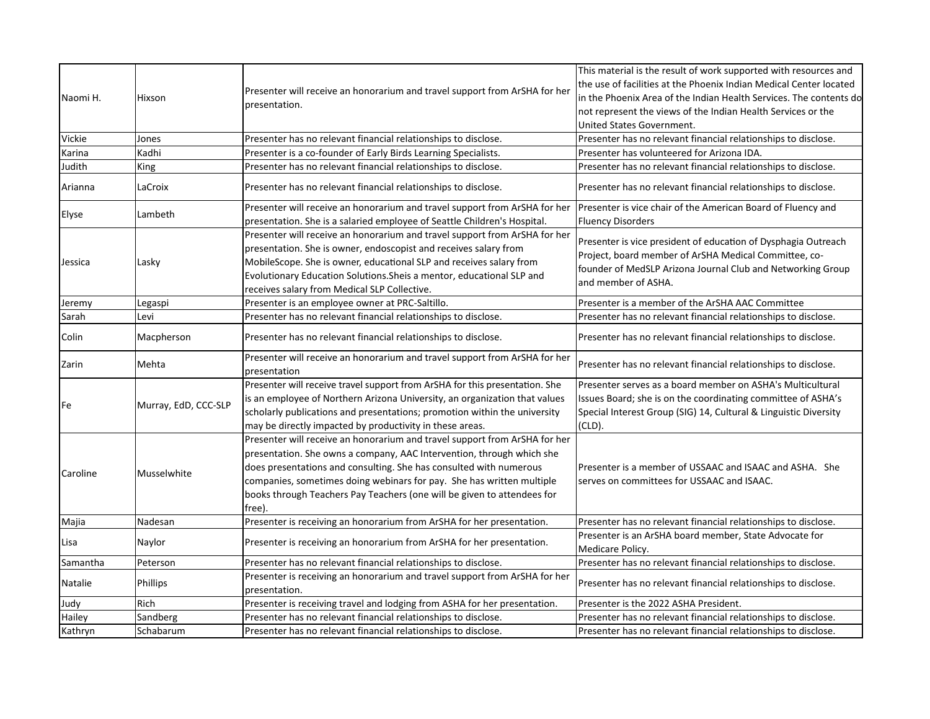|          |                      |                                                                                                                                                        | This material is the result of work supported with resources and                         |  |
|----------|----------------------|--------------------------------------------------------------------------------------------------------------------------------------------------------|------------------------------------------------------------------------------------------|--|
|          |                      |                                                                                                                                                        | the use of facilities at the Phoenix Indian Medical Center located                       |  |
| Naomi H. | Hixson               | Presenter will receive an honorarium and travel support from ArSHA for her                                                                             | in the Phoenix Area of the Indian Health Services. The contents do                       |  |
|          |                      | presentation.                                                                                                                                          | not represent the views of the Indian Health Services or the                             |  |
|          |                      |                                                                                                                                                        | United States Government.                                                                |  |
| Vickie   | Jones                | Presenter has no relevant financial relationships to disclose.                                                                                         | Presenter has no relevant financial relationships to disclose.                           |  |
| Karina   | Kadhi                | Presenter is a co-founder of Early Birds Learning Specialists.                                                                                         | Presenter has volunteered for Arizona IDA.                                               |  |
| Judith   | King                 | Presenter has no relevant financial relationships to disclose.                                                                                         | Presenter has no relevant financial relationships to disclose.                           |  |
| Arianna  | LaCroix              | Presenter has no relevant financial relationships to disclose.                                                                                         | Presenter has no relevant financial relationships to disclose.                           |  |
| Elyse    | Lambeth              | Presenter will receive an honorarium and travel support from ArSHA for her<br>presentation. She is a salaried employee of Seattle Children's Hospital. | Presenter is vice chair of the American Board of Fluency and<br><b>Fluency Disorders</b> |  |
|          |                      | Presenter will receive an honorarium and travel support from ArSHA for her                                                                             |                                                                                          |  |
|          |                      | presentation. She is owner, endoscopist and receives salary from                                                                                       | Presenter is vice president of education of Dysphagia Outreach                           |  |
| Jessica  | Lasky                | MobileScope. She is owner, educational SLP and receives salary from                                                                                    | Project, board member of ArSHA Medical Committee, co-                                    |  |
|          |                      | Evolutionary Education Solutions. Sheis a mentor, educational SLP and                                                                                  | founder of MedSLP Arizona Journal Club and Networking Group                              |  |
|          |                      | receives salary from Medical SLP Collective.                                                                                                           | and member of ASHA.                                                                      |  |
| Jeremy   | Legaspi              | Presenter is an employee owner at PRC-Saltillo.                                                                                                        | Presenter is a member of the ArSHA AAC Committee                                         |  |
| Sarah    | Levi                 | Presenter has no relevant financial relationships to disclose.                                                                                         | Presenter has no relevant financial relationships to disclose.                           |  |
|          |                      |                                                                                                                                                        |                                                                                          |  |
| Colin    | Macpherson           | Presenter has no relevant financial relationships to disclose.                                                                                         | Presenter has no relevant financial relationships to disclose.                           |  |
|          | Mehta                | Presenter will receive an honorarium and travel support from ArSHA for her                                                                             | Presenter has no relevant financial relationships to disclose.                           |  |
| Zarin    |                      | presentation                                                                                                                                           |                                                                                          |  |
|          | Murray, EdD, CCC-SLP | Presenter will receive travel support from ArSHA for this presentation. She                                                                            | Presenter serves as a board member on ASHA's Multicultural                               |  |
| Fe       |                      | is an employee of Northern Arizona University, an organization that values                                                                             | Issues Board; she is on the coordinating committee of ASHA's                             |  |
|          |                      | scholarly publications and presentations; promotion within the university                                                                              | Special Interest Group (SIG) 14, Cultural & Linguistic Diversity                         |  |
|          |                      | may be directly impacted by productivity in these areas.                                                                                               | (CLD).                                                                                   |  |
|          |                      | Presenter will receive an honorarium and travel support from ArSHA for her                                                                             |                                                                                          |  |
|          |                      | presentation. She owns a company, AAC Intervention, through which she                                                                                  |                                                                                          |  |
| Caroline | Musselwhite          | does presentations and consulting. She has consulted with numerous                                                                                     | Presenter is a member of USSAAC and ISAAC and ASHA. She                                  |  |
|          |                      | companies, sometimes doing webinars for pay. She has written multiple                                                                                  | serves on committees for USSAAC and ISAAC.                                               |  |
|          |                      | books through Teachers Pay Teachers (one will be given to attendees for                                                                                |                                                                                          |  |
|          |                      | free).                                                                                                                                                 |                                                                                          |  |
| Majia    | Nadesan              | Presenter is receiving an honorarium from ArSHA for her presentation.                                                                                  | Presenter has no relevant financial relationships to disclose.                           |  |
| Lisa     | Naylor               | Presenter is receiving an honorarium from ArSHA for her presentation.                                                                                  | Presenter is an ArSHA board member, State Advocate for<br>Medicare Policy.               |  |
| Samantha | Peterson             | Presenter has no relevant financial relationships to disclose.                                                                                         | Presenter has no relevant financial relationships to disclose.                           |  |
| Natalie  | Phillips             | Presenter is receiving an honorarium and travel support from ArSHA for her                                                                             | Presenter has no relevant financial relationships to disclose.                           |  |
|          |                      | presentation.                                                                                                                                          |                                                                                          |  |
| Judy     | Rich                 | Presenter is receiving travel and lodging from ASHA for her presentation.                                                                              | Presenter is the 2022 ASHA President.                                                    |  |
| Hailey   | Sandberg             | Presenter has no relevant financial relationships to disclose.                                                                                         | Presenter has no relevant financial relationships to disclose.                           |  |
| Kathryn  | Schabarum            | Presenter has no relevant financial relationships to disclose.                                                                                         | Presenter has no relevant financial relationships to disclose.                           |  |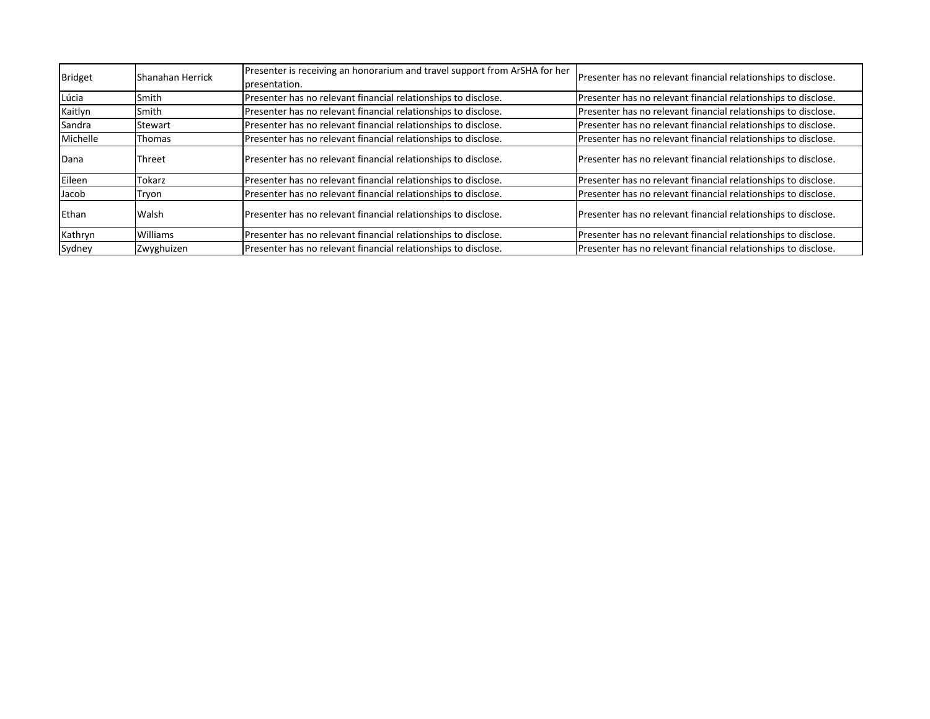| Bridget  | Shanahan Herrick | Presenter is receiving an honorarium and travel support from ArSHA for her<br>presentation. | Presenter has no relevant financial relationships to disclose. |  |
|----------|------------------|---------------------------------------------------------------------------------------------|----------------------------------------------------------------|--|
| Lúcia    | Smith            | Presenter has no relevant financial relationships to disclose.                              | Presenter has no relevant financial relationships to disclose. |  |
| Kaitlyn  | Smith            | Presenter has no relevant financial relationships to disclose.                              | Presenter has no relevant financial relationships to disclose. |  |
| Sandra   | Stewart          | Presenter has no relevant financial relationships to disclose.                              | Presenter has no relevant financial relationships to disclose. |  |
| Michelle | <b>Thomas</b>    | Presenter has no relevant financial relationships to disclose.                              | Presenter has no relevant financial relationships to disclose. |  |
| Dana     | Threet           | Presenter has no relevant financial relationships to disclose.                              | Presenter has no relevant financial relationships to disclose. |  |
| Eileen   | Tokarz           | Presenter has no relevant financial relationships to disclose.                              | Presenter has no relevant financial relationships to disclose. |  |
| Jacob    | Tryon            | Presenter has no relevant financial relationships to disclose.                              | Presenter has no relevant financial relationships to disclose. |  |
| Ethan    | Walsh            | Presenter has no relevant financial relationships to disclose.                              | Presenter has no relevant financial relationships to disclose. |  |
| Kathryn  | Williams         | Presenter has no relevant financial relationships to disclose.                              | Presenter has no relevant financial relationships to disclose. |  |
| Sydney   | Zwyghuizen       | Presenter has no relevant financial relationships to disclose.                              | Presenter has no relevant financial relationships to disclose. |  |